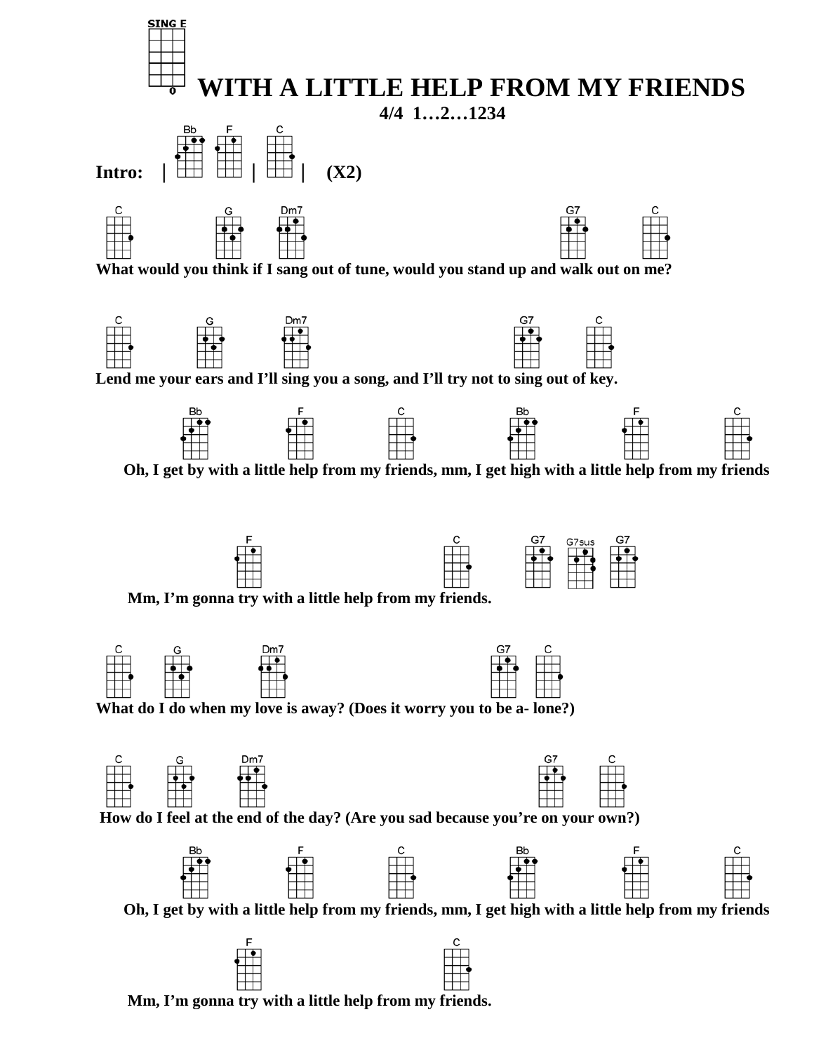

 **Mm, I'm gonna try with a little help from my friends.**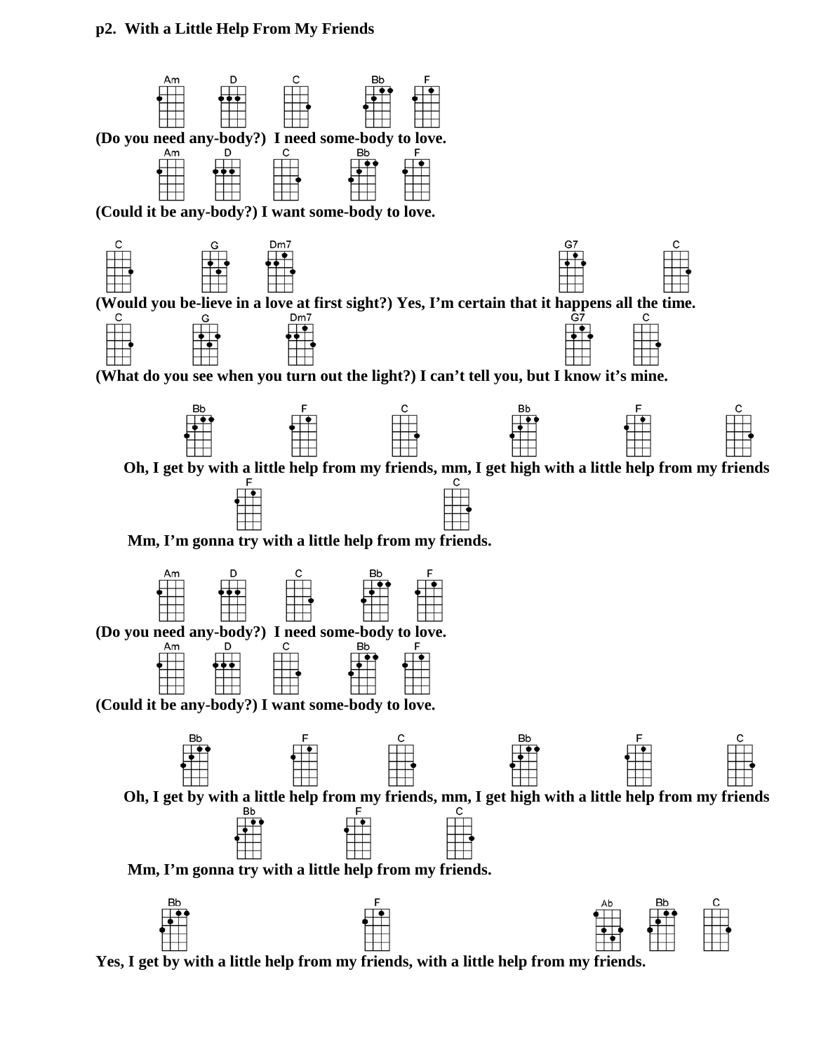## **p2. With a Little Help From My Friends**



 **Yes, I get by with a little help from my friends, with a little help from my friends.**